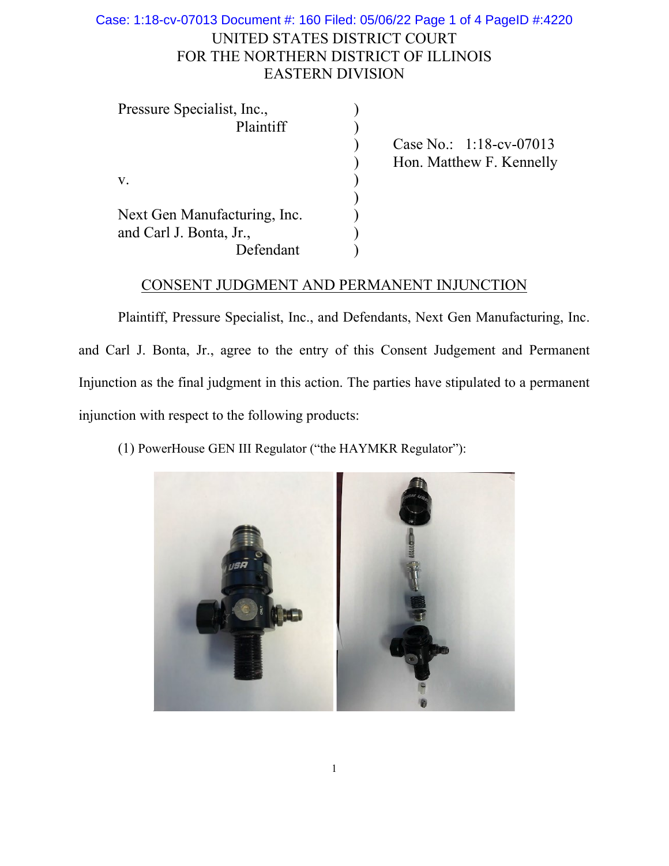## UNITED STATES DISTRICT COURT FOR THE NORTHERN DISTRICT OF ILLINOIS EASTERN DIVISION Case: 1:18-cv-07013 Document #: 160 Filed: 05/06/22 Page 1 of 4 PageID #:4220

| Pressure Specialist, Inc.,   |                            |
|------------------------------|----------------------------|
| Plaintiff                    |                            |
|                              | Case No.: $1:18$ -cv-07013 |
|                              | Hon. Matthew F. Kennelly   |
| v.                           |                            |
|                              |                            |
| Next Gen Manufacturing, Inc. |                            |
| and Carl J. Bonta, Jr.,      |                            |
| Defendant                    |                            |

## CONSENT JUDGMENT AND PERMANENT INJUNCTION

Plaintiff, Pressure Specialist, Inc., and Defendants, Next Gen Manufacturing, Inc. and Carl J. Bonta, Jr., agree to the entry of this Consent Judgement and Permanent Injunction as the final judgment in this action. The parties have stipulated to a permanent injunction with respect to the following products:

(1) PowerHouse GEN III Regulator ("the HAYMKR Regulator"):

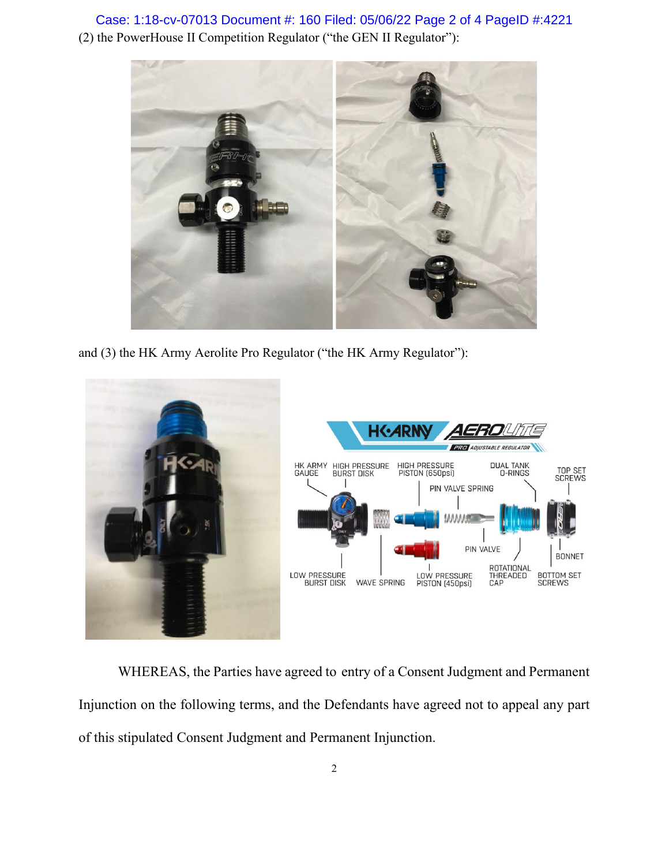(2) the PowerHouse II Competition Regulator ("the GEN II Regulator"): Case: 1:18-cv-07013 Document #: 160 Filed: 05/06/22 Page 2 of 4 PageID #:4221



and (3) the HK Army Aerolite Pro Regulator ("the HK Army Regulator"):



WHEREAS, the Parties have agreed to entry of a Consent Judgment and Permanent Injunction on the following terms, and the Defendants have agreed not to appeal any part of this stipulated Consent Judgment and Permanent Injunction.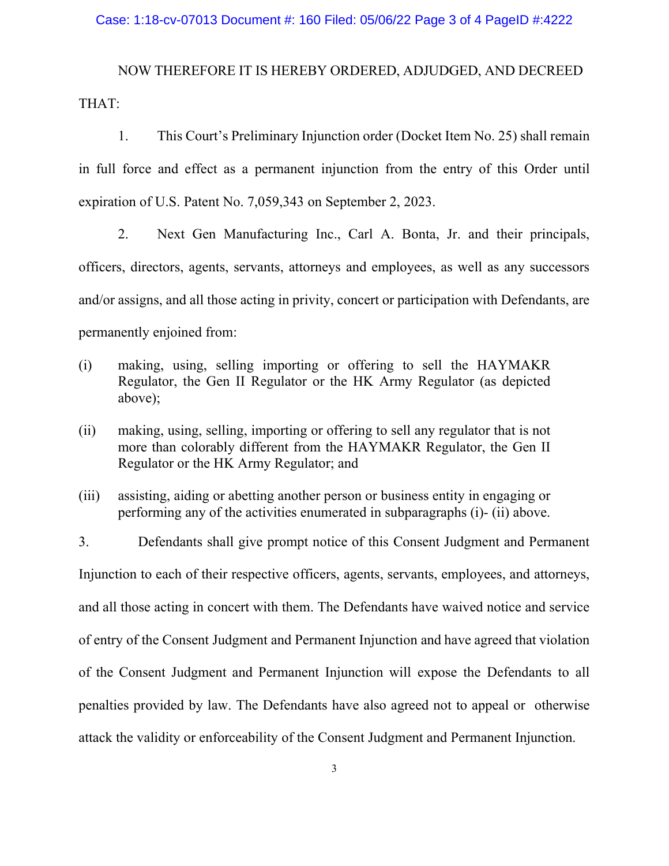## Case: 1:18-cv-07013 Document #: 160 Filed: 05/06/22 Page 3 of 4 PageID #:4222

NOW THEREFORE IT IS HEREBY ORDERED, ADJUDGED, AND DECREED THAT:

1. This Court's Preliminary Injunction order (Docket Item No. 25) shall remain in full force and effect as a permanent injunction from the entry of this Order until expiration of U.S. Patent No. 7,059,343 on September 2, 2023.

2. Next Gen Manufacturing Inc., Carl A. Bonta, Jr. and their principals, officers, directors, agents, servants, attorneys and employees, as well as any successors and/or assigns, and all those acting in privity, concert or participation with Defendants, are permanently enjoined from:

- (i) making, using, selling importing or offering to sell the HAYMAKR Regulator, the Gen II Regulator or the HK Army Regulator (as depicted above);
- (ii) making, using, selling, importing or offering to sell any regulator that is not more than colorably different from the HAYMAKR Regulator, the Gen II Regulator or the HK Army Regulator; and
- (iii) assisting, aiding or abetting another person or business entity in engaging or performing any of the activities enumerated in subparagraphs (i)- (ii) above.

3. Defendants shall give prompt notice of this Consent Judgment and Permanent Injunction to each of their respective officers, agents, servants, employees, and attorneys, and all those acting in concert with them. The Defendants have waived notice and service of entry of the Consent Judgment and Permanent Injunction and have agreed that violation of the Consent Judgment and Permanent Injunction will expose the Defendants to all penalties provided by law. The Defendants have also agreed not to appeal or otherwise attack the validity or enforceability of the Consent Judgment and Permanent Injunction.